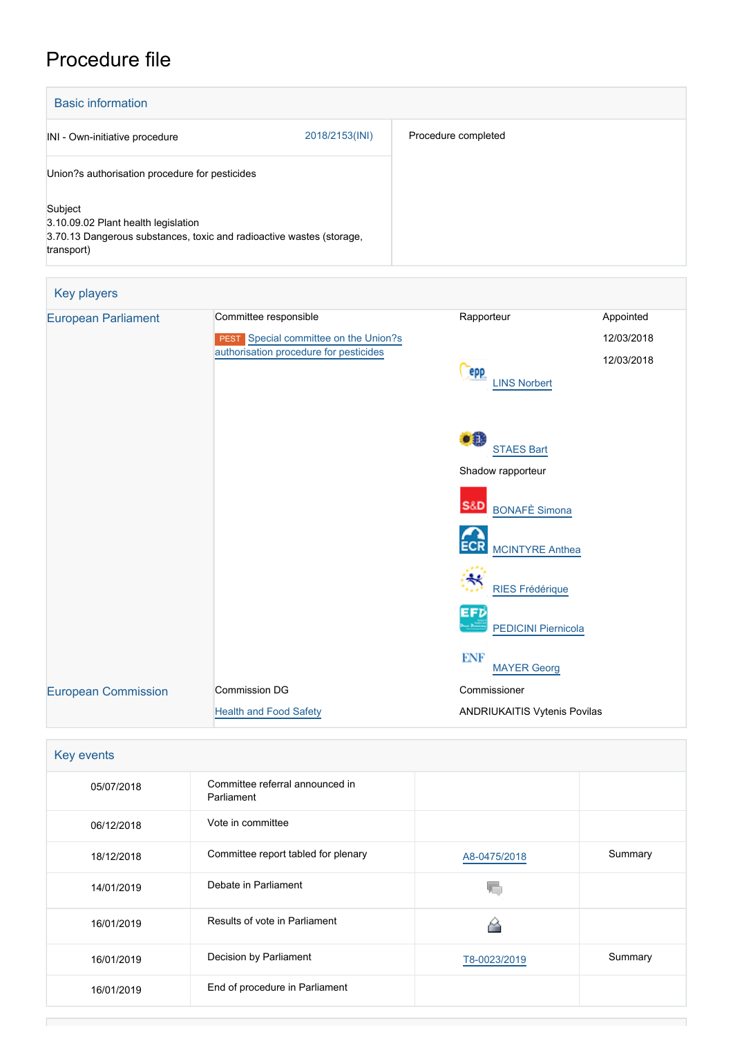# Procedure file

| <b>Basic information</b>                                                                                                             |                |                     |
|--------------------------------------------------------------------------------------------------------------------------------------|----------------|---------------------|
| INI - Own-initiative procedure                                                                                                       | 2018/2153(INI) | Procedure completed |
| Union?s authorisation procedure for pesticides                                                                                       |                |                     |
| Subject<br>3.10.09.02 Plant health legislation<br>3.70.13 Dangerous substances, toxic and radioactive wastes (storage,<br>transport) |                |                     |

| Key players                |                                                 |                                          |            |
|----------------------------|-------------------------------------------------|------------------------------------------|------------|
| <b>European Parliament</b> | Committee responsible                           | Rapporteur                               | Appointed  |
|                            | Special committee on the Union?s<br><b>PEST</b> |                                          | 12/03/2018 |
|                            | authorisation procedure for pesticides          | <b>PPP</b>                               | 12/03/2018 |
|                            |                                                 | <b>LINS Norbert</b>                      |            |
|                            |                                                 |                                          |            |
|                            |                                                 | $\bullet$                                |            |
|                            |                                                 | <b>STAES Bart</b>                        |            |
|                            |                                                 | Shadow rapporteur                        |            |
|                            |                                                 | <b>S&amp;D</b><br><b>BONAFÈ Simona</b>   |            |
|                            |                                                 |                                          |            |
|                            |                                                 | <b>ECR</b><br><b>MCINTYRE Anthea</b>     |            |
|                            |                                                 |                                          |            |
|                            |                                                 | <b>RIES Frédérique</b>                   |            |
|                            |                                                 | <b>EFD</b><br><b>PEDICINI Piernicola</b> |            |
|                            |                                                 | <b>ENF</b>                               |            |
|                            | <b>Commission DG</b>                            | <b>MAYER Georg</b><br>Commissioner       |            |
| <b>European Commission</b> |                                                 |                                          |            |
|                            | <b>Health and Food Safety</b>                   | <b>ANDRIUKAITIS Vytenis Povilas</b>      |            |

# Key events 05/07/2018 Committee referral announced in Parliament 06/12/2018 Vote in committee 18/12/2018 Committee report tabled for plenary Mass [A8-0475/2018](https://www.europarl.europa.eu/doceo/document/A-8-2018-0475_EN.html) Summary  $\overline{\mathbb{Q}}$ 14/01/2019 Debate in Parliament 16/01/2019 Results of vote in Parliament ᢙ 16/01/2019 Decision by Parliament [T8-0023/2019](https://www.europarl.europa.eu/doceo/document/TA-8-2019-0023_EN.html) Summary 16/01/2019 End of procedure in Parliament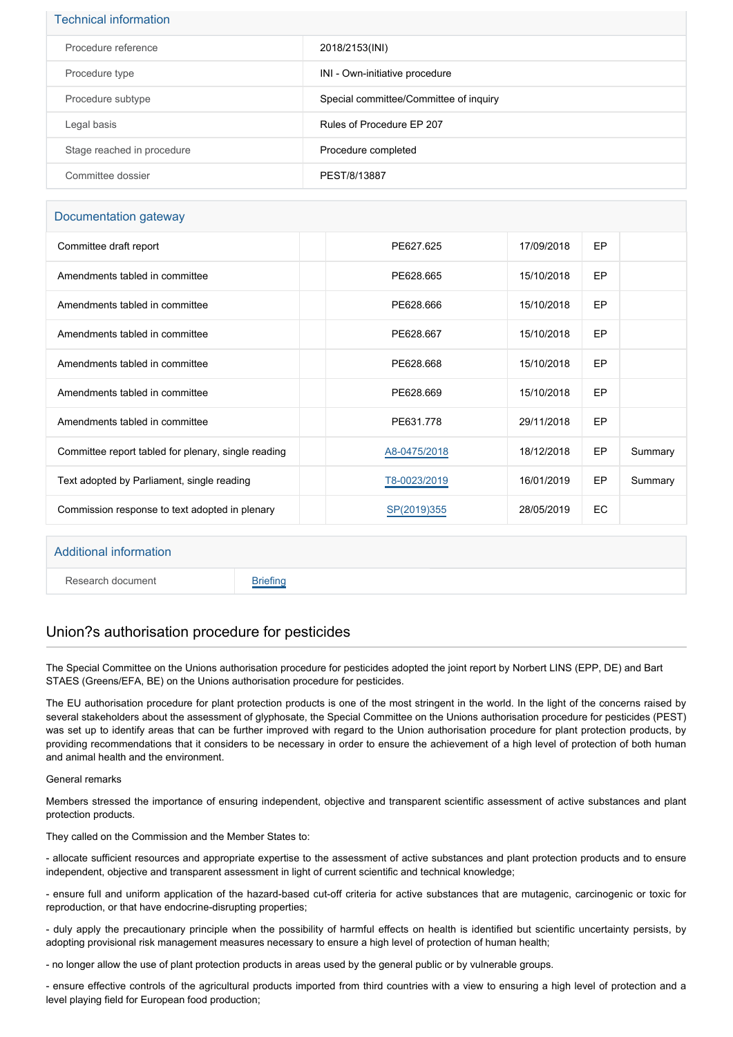| <b>Technical information</b> |                                        |
|------------------------------|----------------------------------------|
| Procedure reference          | 2018/2153(INI)                         |
| Procedure type               | INI - Own-initiative procedure         |
| Procedure subtype            | Special committee/Committee of inquiry |
| Legal basis                  | Rules of Procedure EP 207              |
| Stage reached in procedure   | Procedure completed                    |
| Committee dossier            | PEST/8/13887                           |

### Documentation gateway

| Committee draft report                              | PE627.625    | 17/09/2018 | <b>EP</b> |         |
|-----------------------------------------------------|--------------|------------|-----------|---------|
| Amendments tabled in committee                      | PE628.665    | 15/10/2018 | EP        |         |
| Amendments tabled in committee                      | PE628.666    | 15/10/2018 | EP        |         |
| Amendments tabled in committee                      | PE628.667    | 15/10/2018 | EP        |         |
| Amendments tabled in committee                      | PE628.668    | 15/10/2018 | EP        |         |
| Amendments tabled in committee                      | PE628.669    | 15/10/2018 | EP        |         |
| Amendments tabled in committee                      | PE631.778    | 29/11/2018 | EP        |         |
| Committee report tabled for plenary, single reading | A8-0475/2018 | 18/12/2018 | EP        | Summary |
| Text adopted by Parliament, single reading          | T8-0023/2019 | 16/01/2019 | EP        | Summary |
| Commission response to text adopted in plenary      | SP(2019)355  | 28/05/2019 | EC        |         |
|                                                     |              |            |           |         |

| Additional information |                 |
|------------------------|-----------------|
| Research document      | <b>Briefing</b> |

# Union?s authorisation procedure for pesticides

The Special Committee on the Unions authorisation procedure for pesticides adopted the joint report by Norbert LINS (EPP, DE) and Bart STAES (Greens/EFA, BE) on the Unions authorisation procedure for pesticides.

The EU authorisation procedure for plant protection products is one of the most stringent in the world. In the light of the concerns raised by several stakeholders about the assessment of glyphosate, the Special Committee on the Unions authorisation procedure for pesticides (PEST) was set up to identify areas that can be further improved with regard to the Union authorisation procedure for plant protection products, by providing recommendations that it considers to be necessary in order to ensure the achievement of a high level of protection of both human and animal health and the environment.

### General remarks

Members stressed the importance of ensuring independent, objective and transparent scientific assessment of active substances and plant protection products.

They called on the Commission and the Member States to:

- allocate sufficient resources and appropriate expertise to the assessment of active substances and plant protection products and to ensure independent, objective and transparent assessment in light of current scientific and technical knowledge;

- ensure full and uniform application of the hazard-based cut-off criteria for active substances that are mutagenic, carcinogenic or toxic for reproduction, or that have endocrine-disrupting properties;

- duly apply the precautionary principle when the possibility of harmful effects on health is identified but scientific uncertainty persists, by adopting provisional risk management measures necessary to ensure a high level of protection of human health;

- no longer allow the use of plant protection products in areas used by the general public or by vulnerable groups.

- ensure effective controls of the agricultural products imported from third countries with a view to ensuring a high level of protection and a level playing field for European food production;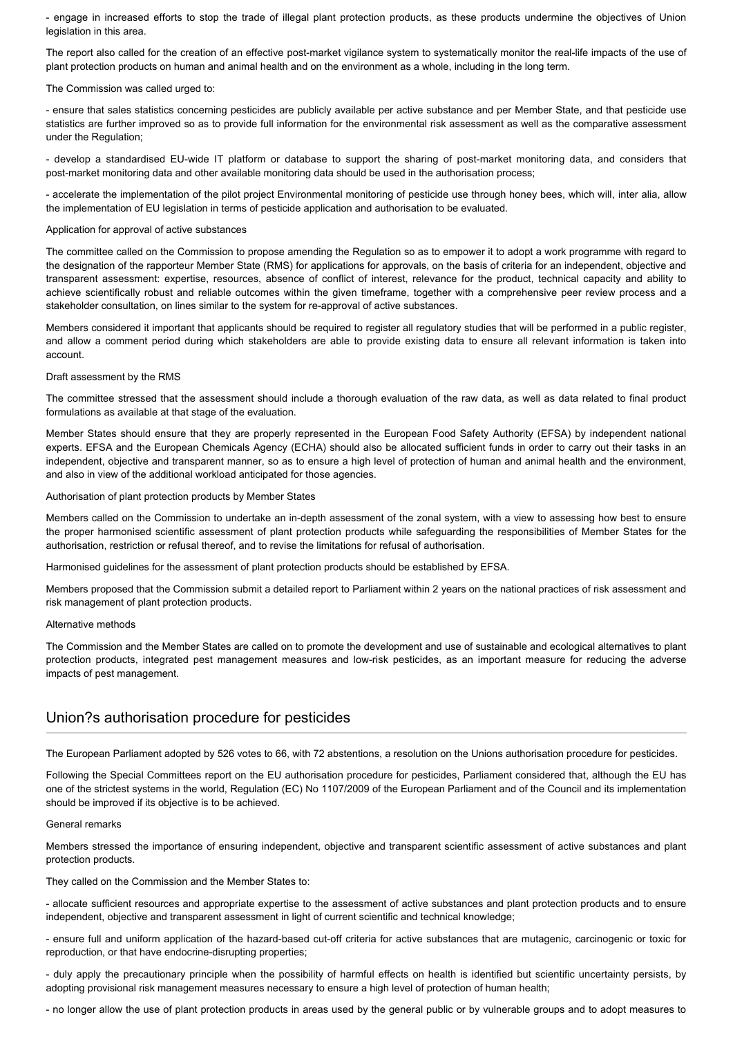- engage in increased efforts to stop the trade of illegal plant protection products, as these products undermine the objectives of Union legislation in this area.

The report also called for the creation of an effective post-market vigilance system to systematically monitor the real-life impacts of the use of plant protection products on human and animal health and on the environment as a whole, including in the long term.

#### The Commission was called urged to:

- ensure that sales statistics concerning pesticides are publicly available per active substance and per Member State, and that pesticide use statistics are further improved so as to provide full information for the environmental risk assessment as well as the comparative assessment under the Regulation;

- develop a standardised EU-wide IT platform or database to support the sharing of post-market monitoring data, and considers that post-market monitoring data and other available monitoring data should be used in the authorisation process;

- accelerate the implementation of the pilot project Environmental monitoring of pesticide use through honey bees, which will, inter alia, allow the implementation of EU legislation in terms of pesticide application and authorisation to be evaluated.

#### Application for approval of active substances

The committee called on the Commission to propose amending the Regulation so as to empower it to adopt a work programme with regard to the designation of the rapporteur Member State (RMS) for applications for approvals, on the basis of criteria for an independent, objective and transparent assessment: expertise, resources, absence of conflict of interest, relevance for the product, technical capacity and ability to achieve scientifically robust and reliable outcomes within the given timeframe, together with a comprehensive peer review process and a stakeholder consultation, on lines similar to the system for re-approval of active substances.

Members considered it important that applicants should be required to register all regulatory studies that will be performed in a public register, and allow a comment period during which stakeholders are able to provide existing data to ensure all relevant information is taken into account.

#### Draft assessment by the RMS

The committee stressed that the assessment should include a thorough evaluation of the raw data, as well as data related to final product formulations as available at that stage of the evaluation.

Member States should ensure that they are properly represented in the European Food Safety Authority (EFSA) by independent national experts. EFSA and the European Chemicals Agency (ECHA) should also be allocated sufficient funds in order to carry out their tasks in an independent, objective and transparent manner, so as to ensure a high level of protection of human and animal health and the environment, and also in view of the additional workload anticipated for those agencies.

#### Authorisation of plant protection products by Member States

Members called on the Commission to undertake an in-depth assessment of the zonal system, with a view to assessing how best to ensure the proper harmonised scientific assessment of plant protection products while safeguarding the responsibilities of Member States for the authorisation, restriction or refusal thereof, and to revise the limitations for refusal of authorisation.

Harmonised guidelines for the assessment of plant protection products should be established by EFSA.

Members proposed that the Commission submit a detailed report to Parliament within 2 years on the national practices of risk assessment and risk management of plant protection products.

#### Alternative methods

The Commission and the Member States are called on to promote the development and use of sustainable and ecological alternatives to plant protection products, integrated pest management measures and low-risk pesticides, as an important measure for reducing the adverse impacts of pest management.

## Union?s authorisation procedure for pesticides

The European Parliament adopted by 526 votes to 66, with 72 abstentions, a resolution on the Unions authorisation procedure for pesticides.

Following the Special Committees report on the EU authorisation procedure for pesticides, Parliament considered that, although the EU has one of the strictest systems in the world, Regulation (EC) No 1107/2009 of the European Parliament and of the Council and its implementation should be improved if its objective is to be achieved.

#### General remarks

Members stressed the importance of ensuring independent, objective and transparent scientific assessment of active substances and plant protection products.

They called on the Commission and the Member States to:

- allocate sufficient resources and appropriate expertise to the assessment of active substances and plant protection products and to ensure independent, objective and transparent assessment in light of current scientific and technical knowledge;

- ensure full and uniform application of the hazard-based cut-off criteria for active substances that are mutagenic, carcinogenic or toxic for reproduction, or that have endocrine-disrupting properties;

- duly apply the precautionary principle when the possibility of harmful effects on health is identified but scientific uncertainty persists, by adopting provisional risk management measures necessary to ensure a high level of protection of human health;

- no longer allow the use of plant protection products in areas used by the general public or by vulnerable groups and to adopt measures to